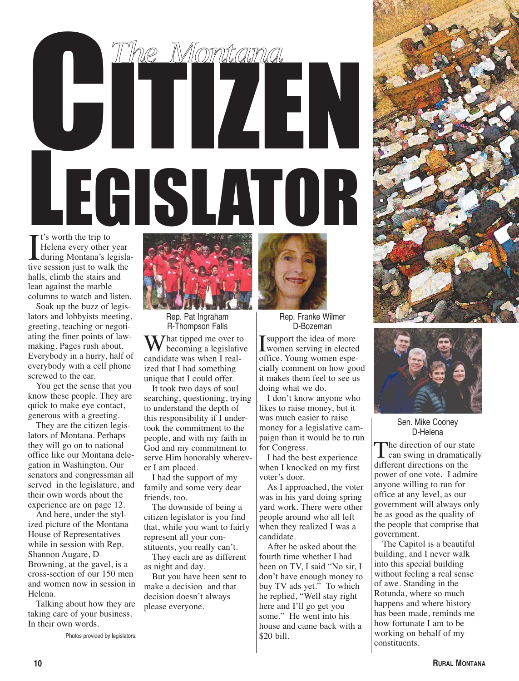## t's worth the trip to CHANGE MORTGARD LEGISLATOR *The Montana*

It's worth the trip to<br>Helena every other year<br>during Montana's legisla-<br>tive session just to walk the Helena every other year tive session just to walk the halls, climb the stairs and lean against the marble columns to watch and listen.

Soak up the buzz of legislators and lobbyists meeting, greeting, teaching or negotiating the finer points of lawmaking. Pages rush about. Everybody in a hurry, half of everybody with a cell phone screwed to the ear.

You get the sense that you know these people. They are quick to make eye contact, generous with a greeting.

They are the citizen legislators of Montana. Perhaps they will go on to national office like our Montana delegation in Washington. Our senators and congressman all served in the legislature, and their own words about the experience are on page 12.

And here, under the stylized picture of the Montana House of Representatives while in session with Rep. Shannon Augare, D-Browning, at the gavel, is a cross-section of our 150 men and women now in session in Helena.

Talking about how they are taking care of your business. In their own words.

Photos provided by legislators.



Rep. Pat Ingraham R-Thompson Falls

 $\mathbf{W}$  hat tipped me over to becoming a legislative candidate was when I realized that I had something unique that I could offer.

It took two days of soul searching, questioning, trying to understand the depth of this responsibility if I undertook the commitment to the people, and with my faith in God and my commitment to serve Him honorably wherever I am placed.

I had the support of my family and some very dear friends, too.

The downside of being a citizen legislator is you find that, while you want to fairly represent all your constituents, you really can't.

They each are as different as night and day.

But you have been sent to make a decision and that decision doesn't always please everyone.



Rep. Franke Wilmer D-Bozeman

Support the idea of more<br>women serving in electe women serving in elected office. Young women especially comment on how good it makes them feel to see us doing what we do.

I don't know anyone who likes to raise money, but it was much easier to raise money for a legislative campaign than it would be to run for Congress.

I had the best experience when I knocked on my first voter's door.

As I approached, the voter was in his yard doing spring yard work. There were other people around who all left when they realized I was a candidate.

After he asked about the fourth time whether I had been on TV, I said "No sir, I don't have enough money to buy TV ads yet." To which he replied, "Well stay right here and I'll go get you some." He went into his house and came back with a \$20 bill.





Sen. Mike Cooney D-Helena

The direction of our state<br>can swing in dramatically different directions on the power of one vote. I admire anyone willing to run for office at any level, as our government will always only be as good as the quality of the people that comprise that government.

The Capitol is a beautiful building, and I never walk into this special building without feeling a real sense of awe. Standing in the Rotunda, where so much happens and where history has been made, reminds me how fortunate I am to be working on behalf of my constituents.